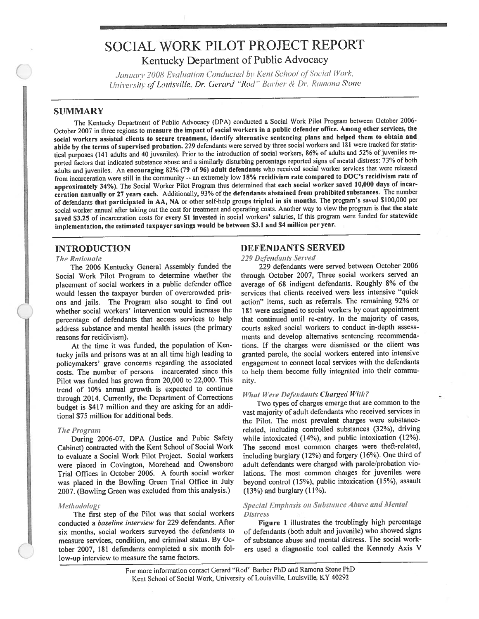# **SOCIAL WORK PILOT PROJECT REPORT** Kentucky Department of Public Advocacy

January 2008 Evaluation Conducted by Kent School of Social Work, University of Louisville, Dr. Gerard "Rod" Barber & Dr. Ramona Stone

# **SUMMARY**

The Kentucky Department of Public Advocacy (DPA) conducted a Social Work Pilot Program between October 2006-October 2007 in three regions to measure the impact of social workers in a public defender office. Among other services, the social workers assisted clients to secure treatment, identify alternative sentencing plans and helped them to obtain and abide by the terms of supervised probation. 229 defendants were served by three social workers and 181 were tracked for statistical purposes (141 adults and 40 juveniles). Prior to the introduction of social workers, 86% of adults and 52% of juveniles reported factors that indicated substance abuse and a similarly disturbing percentage reported signs of mental distress: 73% of both adults and juveniles. An encouraging 82% (79 of 96) adult defendants who received social worker services that were released from incarceration were still in the community -- an extremely low 18% recidivism rate compared to DOC's recidivism rate of approximately 34%). The Social Worker Pilot Program thus determined that each social worker saved 10,000 days of incarceration annually or 27 years each. Additionally, 93% of the defendants abstained from prohibited substances. The number of defendants that participated in AA, NA or other self-help groups tripled in six months. The program's saved \$100,000 per social worker annual after taking out the cost for treatment and operating costs. Another way to view the program is that the state saved \$3.25 of incarceration costs for every \$1 invested in social workers' salaries, If this program were funded for statewide implementation, the estimated taxpayer savings would be between \$3.1 and \$4 million per year.

# **INTRODUCTION**

### **The Rationale**

The 2006 Kentucky General Assembly funded the Social Work Pilot Program to determine whether the placement of social workers in a public defender office would lessen the taxpayer burden of overcrowded prisons and jails. The Program also sought to find out whether social workers' intervention would increase the percentage of defendants that access services to help address substance and mental health issues (the primary reasons for recidivism).

At the time it was funded, the population of Kentucky jails and prisons was at an all time high leading to policymakers' grave concerns regarding the associated costs. The number of persons incarcerated since this Pilot was funded has grown from 20,000 to 22,000. This trend of 10% annual growth is expected to continue through 2014. Currently, the Department of Corrections budget is \$417 million and they are asking for an additional \$75 million for additional beds.

#### **The Program**

During 2006-07, DPA (Justice and Pubic Safety Cabinet) contracted with the Kent School of Social Work to evaluate a Social Work Pilot Project. Social workers were placed in Covington, Morehead and Owensboro Trial Offices in October 2006. A fourth social worker was placed in the Bowling Green Trial Office in July 2007. (Bowling Green was excluded from this analysis.)

### Methodology

The first step of the Pilot was that social workers conducted a baseline interview for 229 defendants. After six months, social workers surveyed the defendants to measure services, condition, and criminal status. By October 2007, 181 defendants completed a six month follow-up interview to measure the same factors.

### **DEFENDANTS SERVED**

229 Defendants Served

229 defendants were served between October 2006 through October 2007, Three social workers served an average of 68 indigent defendants. Roughly 8% of the services that clients received were less intensive "quick action" items, such as referrals. The remaining 92% or 181 were assigned to social workers by court appointment that continued until re-entry. In the majority of cases, courts asked social workers to conduct in-depth assessments and develop alternative sentencing recommendations. If the charges were dismissed or the client was granted parole, the social workers entered into intensive engagement to connect local services with the defendants to help them become fully integrated into their community.

# **What Were Defendants Charged With?**

Two types of charges emerge that are common to the vast majority of adult defendants who received services in the Pilot. The most prevalent charges were substancerelated, including controlled substances (32%), driving while intoxicated (14%), and public intoxication (12%). The second most common charges were theft-related, including burglary (12%) and forgery (16%). One third of adult defendants were charged with parole/probation violations. The most common charges for juveniles were beyond control (15%), public intoxication (15%), assault  $(13%)$  and burglary  $(11%)$ .

## Special Emphasis on Substance Abuse and Mental **Distress**

Figure 1 illustrates the troublingly high percentage of defendants (both adult and juvenile) who showed signs of substance abuse and mental distress. The social workers used a diagnostic tool called the Kennedy Axis V

For more information contact Gerard "Rod" Barber PhD and Ramona Stone PhD Kent School of Social Work, University of Louisville, Louisville, KY 40292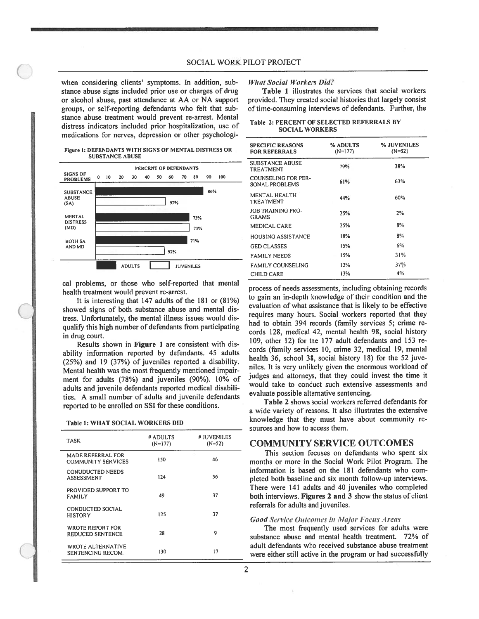when considering clients' symptoms. In addition, sub stance abuse signs included prior use or charges of drug or alcohol abuse, pas<sup>t</sup> attendance at AA or NA suppor<sup>t</sup> groups, or self-reporting defendants who felt that sub stance abuse treatment would preven<sup>t</sup> re-arrest. Mental distress indicators included prior hospitalization, use of medications for nerves, depression or other psychologi

#### Figure 1: DEFENDANTS WITH SIGNS OF MENTAL DISTRESS OR SUBSTANCE ABUSE



cal problems, or those who self-reported that mental health treatment would preven<sup>t</sup> re-arrest.

It is interesting that 147 adults of the 181 or (81%) showed signs of both substance abuse and mental dis tress. Unfortunately, the mental illness issues would dis qualify this high number of defendants from participating in drug court.

Results shown in Figure 1 are consistent with dis ability information reported by defendants. <sup>45</sup> adults (25%) and <sup>19</sup> (37%) of juveniles reported <sup>a</sup> disability. Mental health was the most frequently mentioned impair ment for adults (78%) and juveniles (90%). 10% of adults and juvenile defendants reported medical disabili ties. A small number of adults and juvenile defendants reported to be enrolled on SSI for these conditions.

| <b>Table 1: WHAT SOCIAL WORKERS DID</b> |  |
|-----------------------------------------|--|
|-----------------------------------------|--|

| <b>TASK</b>                                           | # ADULTS<br>$(N=177)$ | # JUVENILES<br>$(N=52)$ |
|-------------------------------------------------------|-----------------------|-------------------------|
| <b>MADE REFERRAL FOR</b><br><b>COMMUNITY SERVICES</b> | 150                   | 46                      |
| <b>CONUDUCTED NEEDS</b><br><b>ASSESSMENT</b>          | 124                   | 36                      |
| PROVIDED SUPPORT TO<br><b>FAMILY</b>                  | 49                    | 37                      |
| CONDUCTED SOCIAL<br>HISTORY                           | 125                   | 37                      |
| <b>WROTE REPORT FOR</b><br>REDUCED SENTENCE           | 28                    | 9                       |
| <b>WROTE ALTERNATIVE</b><br>SENTENCING RECOM.         | 130                   | 17                      |

#### What Social Workers Did?

Table 1 illustrates the services that social workers provided. They created social histories that largely consist of time-consuming interviews of defendants. Further, the

|  | Table 2: PERCENT OF SELECTED REFERRALS BY |  |  |  |  |
|--|-------------------------------------------|--|--|--|--|
|  | <b>SOCIAL WORKERS</b>                     |  |  |  |  |

| <b>SPECIFIC REASONS</b><br><b>FOR REFERRALS</b> | % ADULTS<br>$(N=177)$ | % JUVENILES<br>$(N=52)$ |
|-------------------------------------------------|-----------------------|-------------------------|
| <b>SUBSTANCE ABUSE</b><br><b>TREATMENT</b>      | 79%                   | 38%                     |
| COUNSELING FOR PER-<br>SONAL PROBLEMS           | 61%                   | 63%                     |
| MENTAL HEALTH<br><b>TREATMENT</b>               | 44%                   | 60%                     |
| <b>JOB TRAINING PRO-</b><br><b>GRAMS</b>        | 25%                   | 2%                      |
| <b>MEDICAL CARE</b>                             | 25%                   | 8%                      |
| HOUSING ASSISTANCE                              | 18%                   | 8%                      |
| <b>GED CLASSES</b>                              | 15%                   | 6%                      |
| <b>FAMILY NEEDS</b>                             | 15%                   | 31%                     |
| <b>FAMILY COUNSELING</b>                        | 13%                   | 37%                     |
| <b>CHILD CARE</b>                               | 13%                   | 4%                      |

process of needs assessments, including obtaining records to gain an in-depth knowledge of their condition and the evaluation of what assistance that is likely to be effective requires many hours. Social workers reported that they had to obtain 394 records (family services 5; crime re cords 128, medical 42, mental health 98, social history 109, other 12) for the 177 adult defendants and 153 re cords (family services 10, crime 32, medical 19, mental health 36, school 38, social history 18) for the 52 juveniles. It is very unlikely <sup>g</sup>iven the enormous workload of judges and attorneys, that they could invest the time it would take to conduct such extensive assessments and evaluate possible alternative sentencing.

Table 2 shows social workers referred defendants for <sup>a</sup> wide variety of reasons. It also illustrates the extensive knowledge that they must have about community re sources and how to access them.

# COMMUNITY SERVICE OUTCOMES

This section focuses on defendants who spen<sup>t</sup> six months or more in the Social Work Pilot Program. The information is based on the 181 defendants who com <sup>p</sup>leted both baseline and six month follow-up interviews. There were 141 adults and 40 juveniles who completed both interviews. Figures 2 and 3 show the status of client referrals for adults and juveniles.

### Good Service Outcomes in Major Focus Areas

The most frequently used services for adults were substance abuse and mental health treatment. 72% of adult defendants who received substance abuse treatment were either still active in the program or had successfully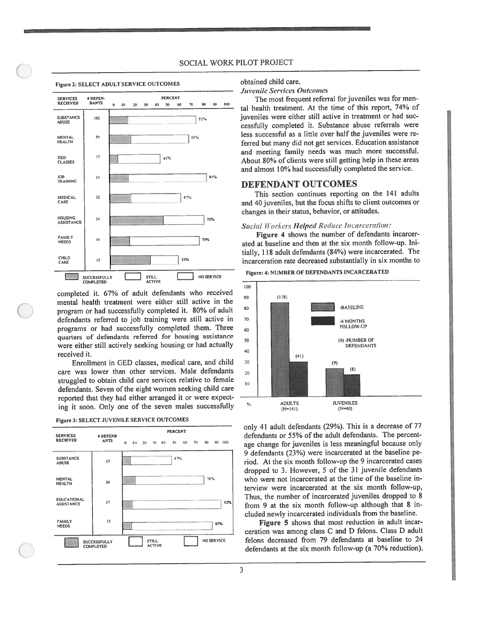### SOCIAL WORK PiLOT PROJECT



completed it. 67% of adult defendants who received mental health treatment were either still active in the program or had successfully completed it. 80% of adult defendants referred to job training were still active in programs or had successfully completed them. Three quarters of defendants referred for housing assistance were either still actively seeking housing or had actually received it.

Enrollment in GED classes, medical care, and child care was lower than other services. Male defendants struggled to obtain child care services relative to female defendants. Seven of the eight women seeking child care reported that they had either arrange<sup>d</sup> it or were expec<sup>t</sup> ing it soon. Only one of the seven males successfully

| <b>SERVICES</b><br><b>RECIEVED</b>      | # DEFEND<br><b>ANTS</b>          | <b>PERCENT</b><br>100<br>70<br>90<br>80<br>10 20 30<br>50<br>60<br>40<br>$\bf{0}$ |
|-----------------------------------------|----------------------------------|-----------------------------------------------------------------------------------|
| <b>SUBSTANCE</b><br><b>ABUSE</b>        | 17                               | 47%                                                                               |
| <b>MENTAL</b><br><b>HEALTH</b>          | 30                               | 74%                                                                               |
| <b>EDUCATIONAL</b><br><b>ASSISTANCE</b> | 13                               | 92%                                                                               |
| <b>FAMILY</b><br><b>NEEDS</b>           | 15                               | 87%                                                                               |
|                                         | SUCCESSFULLY<br><b>COMPLETED</b> | <b>NO SERVICE</b><br><b>STILL</b><br><b>ACTIVE</b>                                |

figure 3: SELECT JUVENILE SERVICE OUTCOMES

obtained child care.

Juvenile Services Outcomes

The most frequent referral for juveniles was for men tal health treatment. At the time of this report, 74% of juveniles were either still active in treatment or had suc cessfully completed it. Substance abuse referrals were less successful as <sup>a</sup> little over half the juveniles were re ferred but many did not ge<sup>t</sup> services. Education assistance and meeting family needs was much more successful. About 80% of clients were still getting help in these areas and almost 10% had successfully completed the service.

# DEFENDANT OUTCOMES

This section continues reporting on the 141 adults and <sup>40</sup> juveniles, but the focus shifts to client outcomes or changes in their status, behavior, or attitudes.

# Social Workers Helped Reduce Incarceration:

Figure <sup>4</sup> shows the number of defendants incarcer ated at baseline and then at the six month follow-up. Ini tially, 11\$ adult defendants (84%) were incarcerated. The incarceration rate decreased substantially in six months to





only <sup>41</sup> adult defendants (29%). This is <sup>a</sup> decrease of <sup>77</sup> defendants or 55% of the adult defendants. The percen<sup>t</sup> age change for juveniles is less meaningful because only 9 defendants (23%) were incarcerated at the baseline pe riod. At the six month follow-up the 9 incarcerated cases dropped to 3. However, <sup>5</sup> of the <sup>31</sup> juvenile defendants who were not incarcerated at the time of the baseline in terview were incarcerated at the six month follow-up, Thus, the number of incarcerated juveniles dropped to 8 from 9 at the six month follow-up although that 8 included newly incarcerated individuals from the baseline.

Figure <sup>5</sup> shows that most reduction in adult incar ceration was among class C and D felons. Class D adult felons decreased from 79 defendants at baseline to 24 defendants at the six month follow-up (a 70% reduction).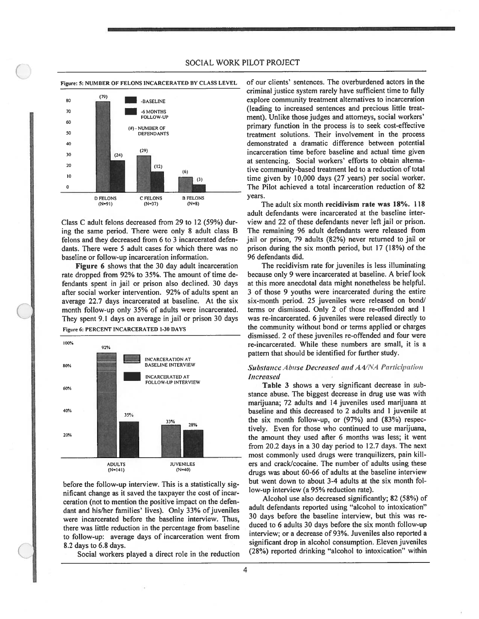Figure: 5: NIJMBER OF FELONS INCARCERATED BY CLASS LEVEL



Class C adult felons decreased from 29 to 12 (59%) dur ing the same period. There were only 8 adult class B felons and they decreased from 6 to 3 incarcerated defen dants. There were 5 adult cases for which there was no baseline or follow-up incarceration information.

Figure <sup>6</sup> shows that the 30 day adult incarceration rate dropped from 92% to 35%. The amount of time de fendants spen<sup>t</sup> in jail or prison also declined. 30 days after social worker intervention. 92% of adults spen<sup>t</sup> an average 22.7 days incarcerated at baseline. At the six month follow-up only 35% of adults were incarcerated. They spen<sup>t</sup> 9.1 days on average in jail or prison 30 days





before the follow-up interview. This is <sup>a</sup> statistically sig nificant change as it saved the taxpayer the cost of incar ceration (not to mention the positive impact on the defen dant and his/her families' lives). Only 33% of juveniles were incarcerated before the baseline interview. Thus, there was little reduction in the percentage from baseline to follow-up: average days of incarceration went from 8.2 days to 6.8 days.

Social workers played <sup>a</sup> direct role in the reduction

of our clients' sentences. The overburdened actors in the criminal justice system rarely have sufficient time to fully explore community treatment alternatives to incarceration (leading to increased sentences and precious little treat ment). Unlike those judges and attorneys, social workers' primary function in the process is to seek cost-effective treatment solutions. Their involvement in the process demonstrated <sup>a</sup> dramatic difference between potential incarceration time before baseline and actual time given at sentencing. Social workers' efforts to obtain alterna tive community-based treatment led to a reduction of total time <sup>g</sup>iven by 10,000 days (27 years) per social worker. The Pilot achieved <sup>a</sup> total incarceration reduction of 82 years.

The adult six month recidivism rate was 18%. 118 adult defendants were incarcerated at the baseline inter view and 22 of these defendants never left jail or prison. The remaining 96 adult defendants were released from jail or prison, 79 adults (82%) never returned to jail or prison during the six month period, but 17 (18%) of the 96 defendants did.

The recidivism rate for juveniles is less illuminating because only 9 were incarcerated at baseline. A brief look at this more anecdotal data might nonetheless be helpful. <sup>3</sup> of those 9 youths were incarcerated during the entire six-month period. 25 juveniles were released on bond/ terms or dismissed. Only 2 of those re-offended and 1 was re-incarcerated. <sup>6</sup> juveniles were released directly to the community without bond or terms applied or charges dismissed. 2 of these juveniles re-offended and four were re-incarcerated. While these numbers are small, it is <sup>a</sup> pattern that should be identified for further study.

## Substance Abuse Decreased and AA/NA Participation **Increased**

Table 3 shows <sup>a</sup> very significant decrease in sub stance abuse. The biggest decrease in drug use was with marijuana; 72 adults and 14 juveniles used marijuana at baseline and this decreased to 2 adults and I juvenile at the six month follow-up, or (97%) and (83%) respec tively. Even for those who continued to use marijuana, the amount they used after 6 months was less; it went from 20.2 days in <sup>a</sup> 30 day period to 12.7 days. The next most commonly used drugs were tranquilizers, pain kill ers and crack/cocaine. The number of adults using these drugs was about 60-66 of adults at the baseline interview but went down to about 3-4 adults at the six month fol low-up interview (a 95% reduction rate).

Alcohol use also decreased significantly; 82 (58%) of adult defendants reported using "alcohol to intoxication" 30 days before the baseline interview, but this was re duced to <sup>6</sup> adults 30 days before the six month follow-up interview; or <sup>a</sup> decrease of 93%. Juveniles also reported <sup>a</sup> significant drop in alcohol consumption. Eleven juveniles (28%) reported drinking "alcohol to intoxication" within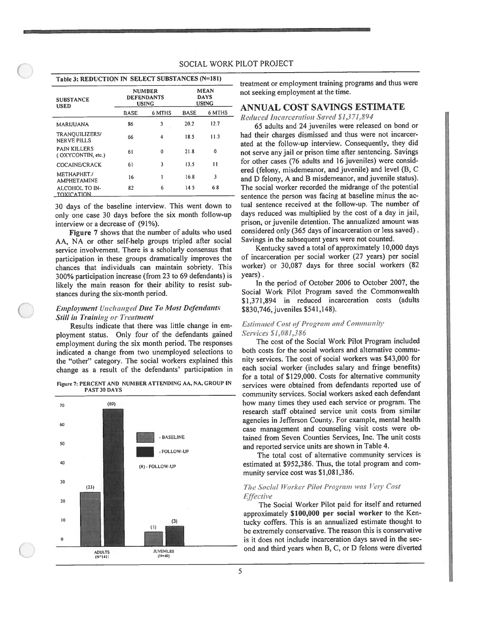### SOCIAL WORK PILOT PROJECT

### Table 3: REDUCTION IN SELECT SUBSTANCES (N=181)

| <b>SUBSTANCE</b><br><b>USED</b>          |             | <b>NUMBER</b><br><b>DEFENDANTS</b><br><b>USING</b> | <b>MEAN</b><br><b>DAYS</b><br><b>USING</b> |              |  |  |
|------------------------------------------|-------------|----------------------------------------------------|--------------------------------------------|--------------|--|--|
|                                          | <b>BASE</b> | 6 MTHS                                             | BASE                                       | 6 MTHS       |  |  |
| MARIJUANA                                | 86          | 3                                                  | 20.2                                       | 12.7         |  |  |
| TRANQUILIZERS/<br><b>NERVE PILLS</b>     | 66          | 4                                                  | 18.5                                       | 11.3         |  |  |
| <b>PAIN KILLERS</b><br>(OXYCONTIN, etc.) | 61          | 0                                                  | 21.8                                       | 0            |  |  |
| COCAINE/CRACK                            | 61          | 3                                                  | 13.5                                       | $\mathbf{1}$ |  |  |
| METHAPHET./<br><b>AMPHETAMINE</b>        | 16          |                                                    | 16.8                                       | 3            |  |  |
| ALCOHOL TO IN-<br>ΤΩΧΙΓΑΤΙΩΝ             | 82          | 6                                                  | 14.5                                       | 6.8          |  |  |

30 days of the baseline interview. This went down to only one case 30 days before the six month follow-up interview or a decrease of (91%).

Figure 7 shows that the number of adults who used AA, NA or other self-help groups tripled after social service involvement. There is a scholarly consensus that participation in these groups dramatically improves the chances that individuals can maintain sobriety. This 300% participation increase (from 23 to 69 defendants) is likely the main reason for their ability to resist substances during the six-month period.

# **Employment Unchanged Due To Most Defendants Still in Training or Treatment**

Results indicate that there was little change in employment status. Only four of the defendants gained employment during the six month period. The responses indicated a change from two unemployed selections to the "other" category. The social workers explained this change as a result of the defendants' participation in

Figure 7: PERCENT AND NUMBER ATTENDING AA, NA, GROUP IN PAST 30 DAYS



treatment or employment training programs and thus were not seeking employment at the time.

## ANNUAL COST SAVINGS ESTIMATE

Reduced Incarceration Saved \$1,371,894

65 adults and 24 juveniles were released on bond or had their charges dismissed and thus were not incarcerated at the follow-up interview. Consequently, they did not serve any jail or prison time after sentencing. Savings for other cases (76 adults and 16 juveniles) were considered (felony, misdemeanor, and juvenile) and level (B, C and D felony, A and B misdemeanor, and juvenile status). The social worker recorded the midrange of the potential sentence the person was facing at baseline minus the actual sentence received at the follow-up. The number of days reduced was multiplied by the cost of a day in jail, prison, or juvenile detention. The annualized amount was considered only (365 days of incarceration or less saved). Savings in the subsequent years were not counted.

Kentucky saved a total of approximately 10,000 days of incarceration per social worker (27 years) per social worker) or 30,087 days for three social workers (82 years).

In the period of October 2006 to October 2007, the Social Work Pilot Program saved the Commonwealth \$1,371,894 in reduced incarceration costs (adults \$830,746, juveniles \$541,148).

### **Estimated Cost of Program and Community** Services \$1,081,386

The cost of the Social Work Pilot Program included both costs for the social workers and alternative community services. The cost of social workers was \$43,000 for each social worker (includes salary and fringe benefits) for a total of \$129,000. Costs for alternative community services were obtained from defendants reported use of community services. Social workers asked each defendant how many times they used each service or program. The research staff obtained service unit costs from similar agencies in Jefferson County. For example, mental health case management and counseling visit costs were obtained from Seven Counties Services, Inc. The unit costs and reported service units are shown in Table 4.

The total cost of alternative community services is estimated at \$952,386. Thus, the total program and community service cost was \$1,081,386.

### The Social Worker Pilot Program was Very Cost **Effective**

The Social Worker Pilot paid for itself and returned approximately \$100,000 per social worker to the Kentucky coffers. This is an annualized estimate thought to be extremely conservative. The reason this is conservative is it does not include incarceration days saved in the second and third years when B, C, or D felons were diverted